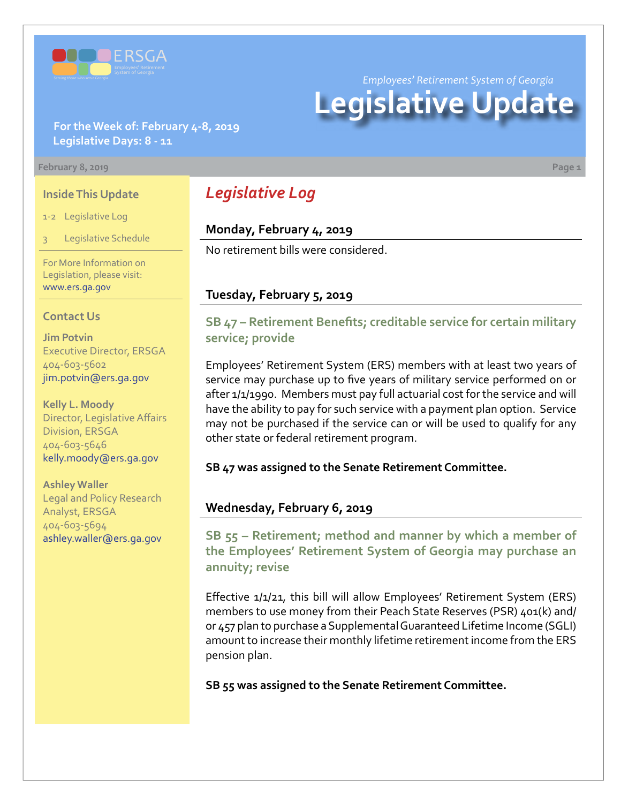

*Employees' Retirement System of Georgia*

# **Legislative Update**

#### **For the Week of: February 4-8, 2019 Legislative Days: 8 - 11**

#### **February 8, 2019 Page 1**

#### **Inside This Update**

1-2 Legislative Log

Legislative Schedule

For More Information on Legislation, please visit: [www.ers.ga.gov](http://www.ers.ga.gov/default.aspx)

#### **Contact Us**

**Jim Potvin** Executive Director, ERSGA 404-603-5602 jim.potvin@ers.ga.gov

**Kelly L. Moody** Director, Legislative Affairs Division, ERSGA 404-603-5646 kelly.moody@ers.ga.gov

**Ashley Waller** Legal and Policy Research Analyst, ERSGA 404-603-5694 ashley.waller@ers.ga.gov

## *Legislative Log*

#### **Monday, February 4, 2019**

No retirement bills were considered.

### **Tuesday, February 5, 2019**

## **SB 4[7 –](http://www.legis.ga.gov/legislation/en-US/Display/20192020/SB/47) Retirement Benefits; creditable service for certain military service; provide**

Employees' Retirement System (ERS) members with at least two years of service may purchase up to five years of military service performed on or after 1/1/1990. Members must pay full actuarial cost for the service and will have the ability to pay for such service with a payment plan option. Service may not be purchased if the service can or will be used to qualify for any other state or federal retirement program.

**SB 47 was assigned to the Senate Retirement Committee.**

## **Wednesday, February 6, 2019**

**SB 55 [– R](http://www.legis.ga.gov/legislation/en-US/Display/20192020/SB/55)etirement; method and manner by which a member of the Employees' Retirement System of Georgia may purchase an annuity; revise**

Effective 1/1/21, this bill will allow Employees' Retirement System (ERS) members to use money from their Peach State Reserves (PSR) 401(k) and/ or 457 plan to purchase a Supplemental Guaranteed Lifetime Income (SGLI) amount to increase their monthly lifetime retirement income from the ERS pension plan.

**SB 55 was assigned to the Senate Retirement Committee.**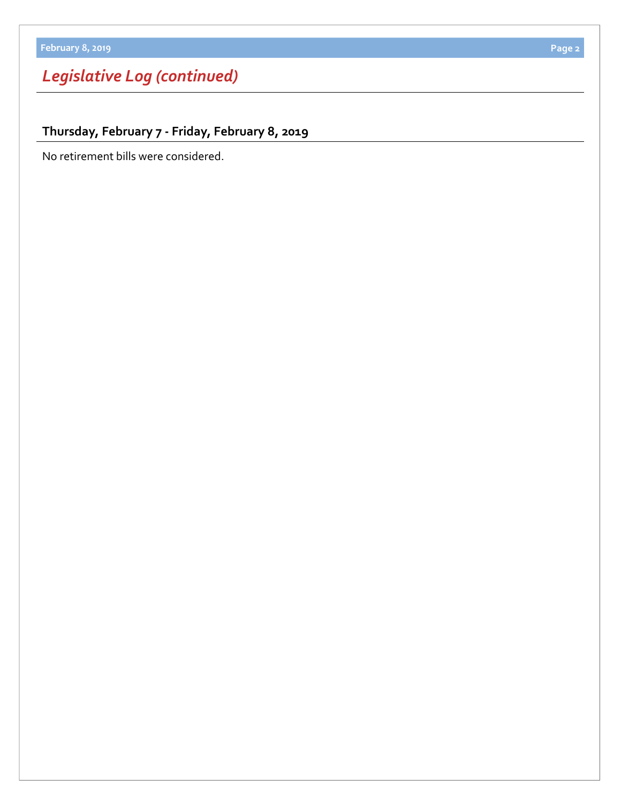# *Legislative Log (continued)*

**Thursday, February 7 - Friday, February 8, 2019**

No retirement bills were considered.